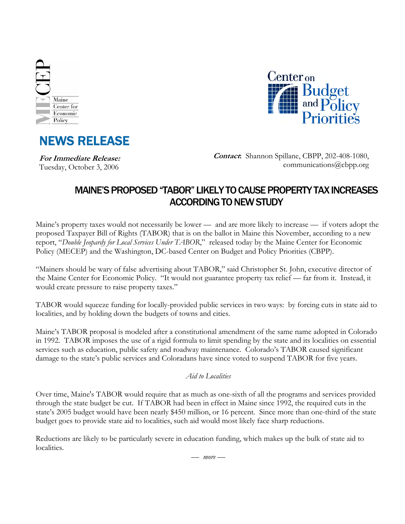





**For Immediate Release:**  Tuesday, October 3, 2006

**Contact:** Shannon Spillane, CBPP, 202-408-1080, communications@cbpp.org

## MAINE'S PROPOSED "TABOR" LIKELY TO CAUSE PROPERTY TAX INCREASES ACCORDING TO NEW STUDY

Maine's property taxes would not necessarily be lower — and are more likely to increase — if voters adopt the proposed Taxpayer Bill of Rights (TABOR) that is on the ballot in Maine this November, according to a new report, "*Double Jeopardy for Local Services Under TABOR*," released today by the Maine Center for Economic Policy (MECEP) and the Washington, DC-based Center on Budget and Policy Priorities (CBPP).

"Mainers should be wary of false advertising about TABOR," said Christopher St. John, executive director of the Maine Center for Economic Policy. "It would not guarantee property tax relief — far from it. Instead, it would create pressure to raise property taxes."

TABOR would squeeze funding for locally-provided public services in two ways: by forcing cuts in state aid to localities, and by holding down the budgets of towns and cities.

Maine's TABOR proposal is modeled after a constitutional amendment of the same name adopted in Colorado in 1992. TABOR imposes the use of a rigid formula to limit spending by the state and its localities on essential services such as education, public safety and roadway maintenance. Colorado's TABOR caused significant damage to the state's public services and Coloradans have since voted to suspend TABOR for five years.

## *Aid to Localities*

Over time, Maine's TABOR would require that as much as one-sixth of all the programs and services provided through the state budget be cut. If TABOR had been in effect in Maine since 1992, the required cuts in the state's 2005 budget would have been nearly \$450 million, or 16 percent. Since more than one-third of the state budget goes to provide state aid to localities, such aid would most likely face sharp reductions.

Reductions are likely to be particularly severe in education funding, which makes up the bulk of state aid to localities.

*— more —*